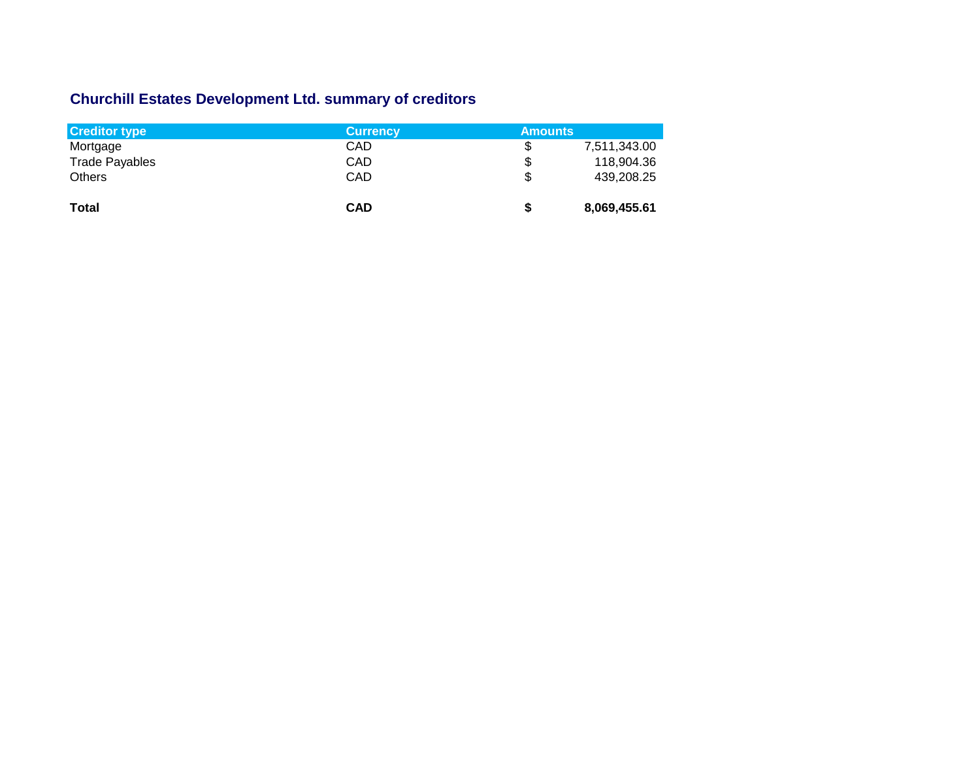## **Churchill Estates Development Ltd. summary of creditors**

| <b>Creditor type</b>  | <b>Currency</b> | <b>Amounts</b> |              |
|-----------------------|-----------------|----------------|--------------|
| Mortgage              | CAD             | S              | 7,511,343.00 |
| <b>Trade Payables</b> | CAD             | \$             | 118,904.36   |
| <b>Others</b>         | CAD             | \$             | 439,208.25   |
| <b>Total</b>          | <b>CAD</b>      | S              | 8,069,455.61 |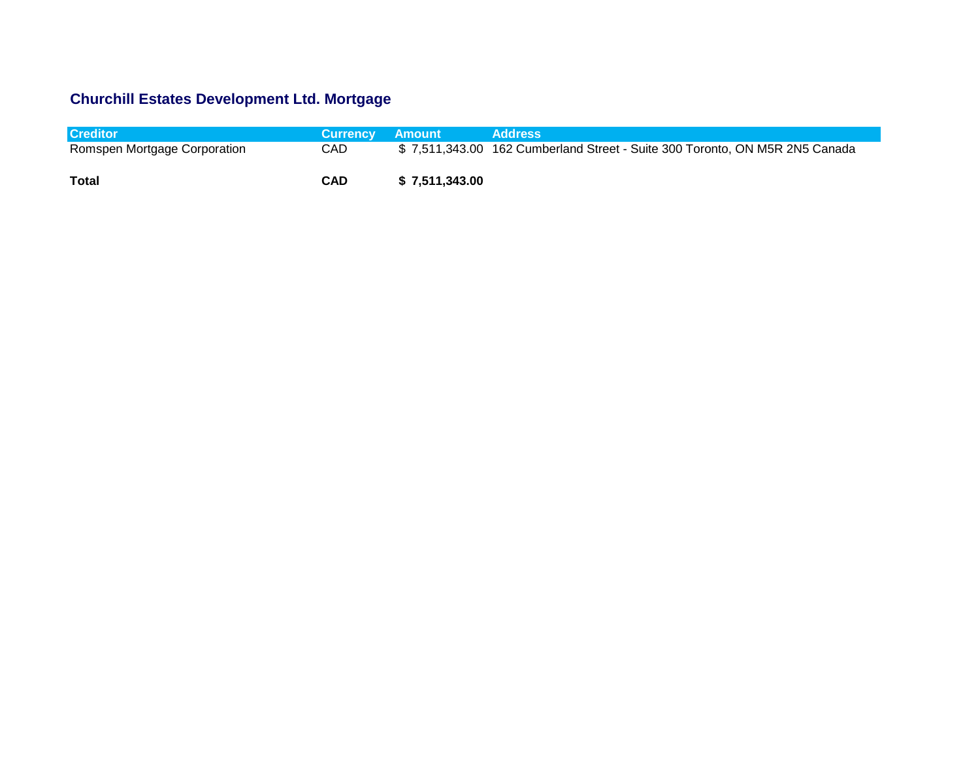## **Churchill Estates Development Ltd. Mortgage**

| <b>Creditor</b>              | Currency Amount |                | Address                                                                     |
|------------------------------|-----------------|----------------|-----------------------------------------------------------------------------|
| Romspen Mortgage Corporation | <b>CAD</b>      |                | \$7,511,343.00 162 Cumberland Street - Suite 300 Toronto, ON M5R 2N5 Canada |
| Total                        | CAD             | \$7,511,343.00 |                                                                             |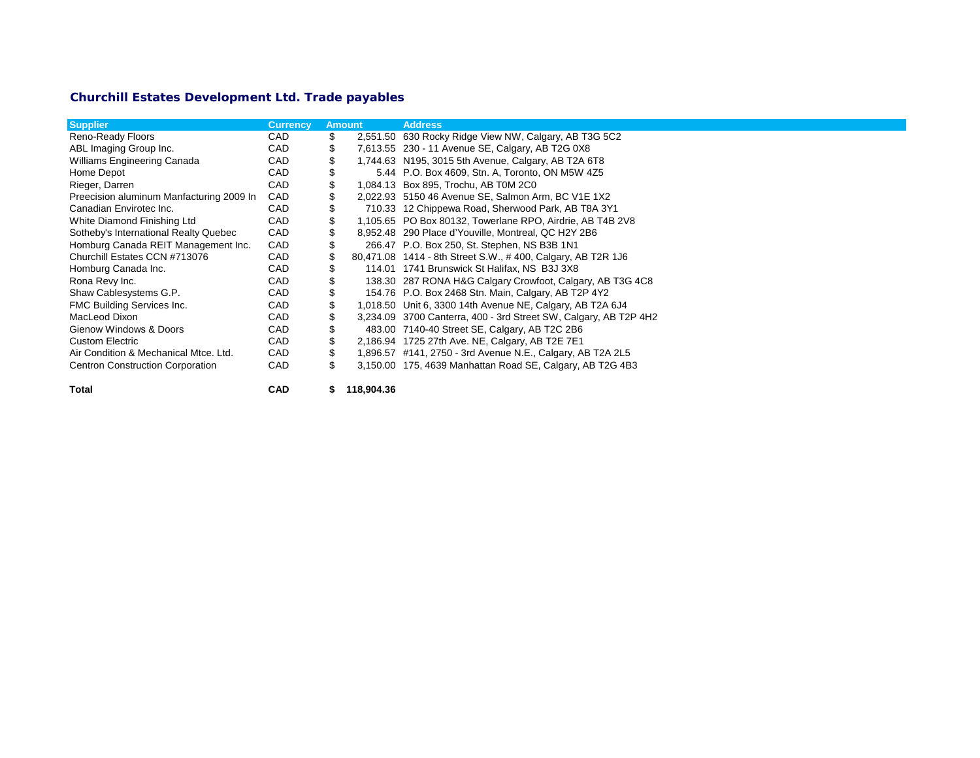## **Churchill Estates Development Ltd. Trade payables**

| <b>Supplier</b>                          | <b>Currency</b> |    | <b>Amount</b> | <b>Address</b>                                                   |
|------------------------------------------|-----------------|----|---------------|------------------------------------------------------------------|
| Reno-Ready Floors                        | <b>CAD</b>      | \$ |               | 2,551.50 630 Rocky Ridge View NW, Calgary, AB T3G 5C2            |
| ABL Imaging Group Inc.                   | <b>CAD</b>      | \$ |               | 7,613.55 230 - 11 Avenue SE, Calgary, AB T2G 0X8                 |
| Williams Engineering Canada              | <b>CAD</b>      |    |               | 1,744.63 N195, 3015 5th Avenue, Calgary, AB T2A 6T8              |
| Home Depot                               | <b>CAD</b>      |    |               | 5.44 P.O. Box 4609, Stn. A, Toronto, ON M5W 4Z5                  |
| Rieger, Darren                           | <b>CAD</b>      | \$ |               | 1,084.13 Box 895, Trochu, AB T0M 2C0                             |
| Preecision aluminum Manfacturing 2009 In | CAD             |    |               | 2,022.93 5150 46 Avenue SE, Salmon Arm, BC V1E 1X2               |
| Canadian Envirotec Inc.                  | CAD             |    |               | 710.33 12 Chippewa Road, Sherwood Park, AB T8A 3Y1               |
| White Diamond Finishing Ltd              | CAD             |    |               | 1,105.65 PO Box 80132, Towerlane RPO, Airdrie, AB T4B 2V8        |
| Sotheby's International Realty Quebec    | CAD             |    |               | 8,952.48 290 Place d'Youville, Montreal, QC H2Y 2B6              |
| Homburg Canada REIT Management Inc.      | CAD             | S  |               | 266.47 P.O. Box 250, St. Stephen, NS B3B 1N1                     |
| Churchill Estates CCN #713076            | CAD             | \$ |               | 80,471.08 1414 - 8th Street S.W., #400, Calgary, AB T2R 1J6      |
| Homburg Canada Inc.                      | CAD             |    |               | 114.01 1741 Brunswick St Halifax, NS B3J 3X8                     |
| Rona Revy Inc.                           | CAD             |    |               | 138.30 287 RONA H&G Calgary Crowfoot, Calgary, AB T3G 4C8        |
| Shaw Cablesystems G.P.                   | <b>CAD</b>      |    |               | 154.76 P.O. Box 2468 Stn. Main, Calgary, AB T2P 4Y2              |
| FMC Building Services Inc.               | <b>CAD</b>      | \$ |               | 1,018.50 Unit 6, 3300 14th Avenue NE, Calgary, AB T2A 6J4        |
| MacLeod Dixon                            | CAD             |    |               | 3,234.09 3700 Canterra, 400 - 3rd Street SW, Calgary, AB T2P 4H2 |
| Gienow Windows & Doors                   | CAD             |    |               | 483.00 7140-40 Street SE, Calgary, AB T2C 2B6                    |
| <b>Custom Electric</b>                   | <b>CAD</b>      | \$ |               | 2,186.94 1725 27th Ave. NE, Calgary, AB T2E 7E1                  |
| Air Condition & Mechanical Mtce, Ltd.    | <b>CAD</b>      | \$ |               | 1,896.57 #141, 2750 - 3rd Avenue N.E., Calgary, AB T2A 2L5       |
| <b>Centron Construction Corporation</b>  | CAD             | \$ |               | 3,150.00 175, 4639 Manhattan Road SE, Calgary, AB T2G 4B3        |
| Total                                    | <b>CAD</b>      | \$ | 118,904.36    |                                                                  |